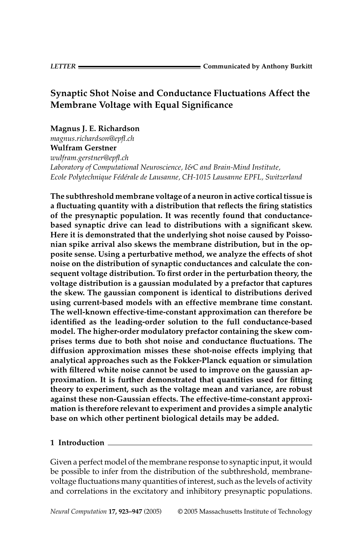# **Synaptic Shot Noise and Conductance Fluctuations Affect the Membrane Voltage with Equal Significance**

# **Magnus J. E. Richardson**

*magnus.richardson@epfl.ch* **Wulfram Gerstner** *wulfram.gerstner@epfl.ch Laboratory of Computational Neuroscience, I&C and Brain-Mind Institute, Ecole Polytechnique Fed´ erale de Lausanne, CH-1015 Lausanne EPFL, Switzerland ´*

**The subthreshold membrane voltage of a neuron in active cortical tissue is a fluctuating quantity with a distribution that reflects the firing statistics of the presynaptic population. It was recently found that conductancebased synaptic drive can lead to distributions with a significant skew. Here it is demonstrated that the underlying shot noise caused by Poissonian spike arrival also skews the membrane distribution, but in the opposite sense. Using a perturbative method, we analyze the effects of shot noise on the distribution of synaptic conductances and calculate the consequent voltage distribution. To first order in the perturbation theory, the voltage distribution is a gaussian modulated by a prefactor that captures the skew. The gaussian component is identical to distributions derived using current-based models with an effective membrane time constant. The well-known effective-time-constant approximation can therefore be identified as the leading-order solution to the full conductance-based model. The higher-order modulatory prefactor containing the skew comprises terms due to both shot noise and conductance fluctuations. The diffusion approximation misses these shot-noise effects implying that analytical approaches such as the Fokker-Planck equation or simulation with filtered white noise cannot be used to improve on the gaussian approximation. It is further demonstrated that quantities used for fitting theory to experiment, such as the voltage mean and variance, are robust against these non-Gaussian effects. The effective-time-constant approximation is therefore relevant to experiment and provides a simple analytic base on which other pertinent biological details may be added.**

#### **1 Introduction**

Given a perfect model of the membrane response to synaptic input, it would be possible to infer from the distribution of the subthreshold, membranevoltage fluctuations many quantities of interest, such as the levels of activity and correlations in the excitatory and inhibitory presynaptic populations.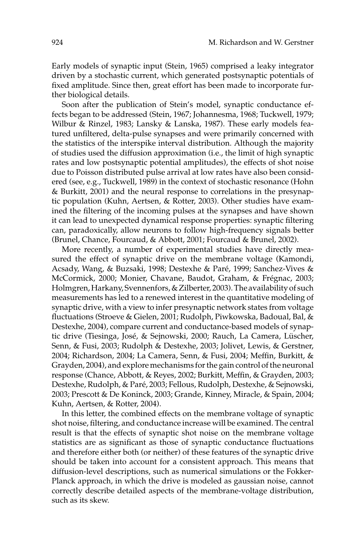Early models of synaptic input (Stein, 1965) comprised a leaky integrator driven by a stochastic current, which generated postsynaptic potentials of fixed amplitude. Since then, great effort has been made to incorporate further biological details.

Soon after the publication of Stein's model, synaptic conductance effects began to be addressed (Stein, 1967; Johannesma, 1968; Tuckwell, 1979; Wilbur & Rinzel, 1983; Lansky & Lanska, 1987). These early models featured unfiltered, delta-pulse synapses and were primarily concerned with the statistics of the interspike interval distribution. Although the majority of studies used the diffusion approximation (i.e., the limit of high synaptic rates and low postsynaptic potential amplitudes), the effects of shot noise due to Poisson distributed pulse arrival at low rates have also been considered (see, e.g., Tuckwell, 1989) in the context of stochastic resonance (Hohn & Burkitt, 2001) and the neural response to correlations in the presynaptic population (Kuhn, Aertsen, & Rotter, 2003). Other studies have examined the filtering of the incoming pulses at the synapses and have shown it can lead to unexpected dynamical response properties: synaptic filtering can, paradoxically, allow neurons to follow high-frequency signals better (Brunel, Chance, Fourcaud, & Abbott, 2001; Fourcaud & Brunel, 2002).

More recently, a number of experimental studies have directly measured the effect of synaptic drive on the membrane voltage (Kamondi, Acsady, Wang, & Buzsaki, 1998; Destexhe & Paré, 1999; Sanchez-Vives & McCormick, 2000; Monier, Chavane, Baudot, Graham, & Frégnac, 2003; Holmgren, Harkany, Svennenfors, & Zilberter, 2003). The availability of such measurements has led to a renewed interest in the quantitative modeling of synaptic drive, with a view to infer presynaptic network states from voltage fluctuations (Stroeve & Gielen, 2001; Rudolph, Piwkowska, Badoual, Bal, & Destexhe, 2004), compare current and conductance-based models of synaptic drive (Tiesinga, José, & Sejnowski, 2000; Rauch, La Camera, Lüscher, Senn, & Fusi, 2003; Rudolph & Destexhe, 2003; Jolivet, Lewis, & Gerstner, 2004; Richardson, 2004; La Camera, Senn, & Fusi, 2004; Meffin, Burkitt, & Grayden, 2004), and explore mechanisms for the gain control of the neuronal response (Chance, Abbott, & Reyes, 2002; Burkitt, Meffin, & Grayden, 2003; Destexhe, Rudolph, & Paré, 2003; Fellous, Rudolph, Destexhe, & Sejnowski, 2003; Prescott & De Koninck, 2003; Grande, Kinney, Miracle, & Spain, 2004; Kuhn, Aertsen, & Rotter, 2004).

In this letter, the combined effects on the membrane voltage of synaptic shot noise, filtering, and conductance increase will be examined. The central result is that the effects of synaptic shot noise on the membrane voltage statistics are as significant as those of synaptic conductance fluctuations and therefore either both (or neither) of these features of the synaptic drive should be taken into account for a consistent approach. This means that diffusion-level descriptions, such as numerical simulations or the Fokker-Planck approach, in which the drive is modeled as gaussian noise, cannot correctly describe detailed aspects of the membrane-voltage distribution, such as its skew.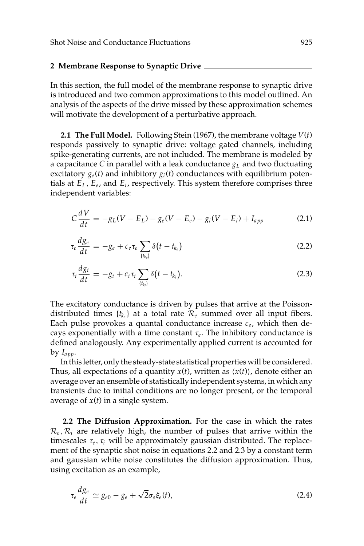#### **2 Membrane Response to Synaptic Drive**

In this section, the full model of the membrane response to synaptic drive is introduced and two common approximations to this model outlined. An analysis of the aspects of the drive missed by these approximation schemes will motivate the development of a perturbative approach.

**2.1 The Full Model.** Following Stein (1967), the membrane voltage *V*(*t*) responds passively to synaptic drive: voltage gated channels, including spike-generating currents, are not included. The membrane is modeled by a capacitance *C* in parallel with a leak conductance *gL* and two fluctuating excitatory  $g_e(t)$  and inhibitory  $g_i(t)$  conductances with equilibrium potentials at  $E_L$ ,  $E_e$ , and  $E_i$ , respectively. This system therefore comprises three independent variables:

$$
C\frac{dV}{dt} = -g_L(V - E_L) - g_e(V - E_e) - g_i(V - E_i) + I_{app}
$$
 (2.1)

$$
\tau_e \frac{dg_e}{dt} = -g_e + c_e \tau_e \sum_{\{t_{k_e}\}} \delta(t - t_{k_e}) \tag{2.2}
$$

$$
\tau_i \frac{dg_i}{dt} = -g_i + c_i \tau_i \sum_{\{t_{k_i}\}} \delta(t - t_{k_i}). \tag{2.3}
$$

The excitatory conductance is driven by pulses that arrive at the Poissondistributed times  $\{t_k\}$  at a total rate  $\mathcal{R}_e$  summed over all input fibers. Each pulse provokes a quantal conductance increase *ce*, which then decays exponentially with a time constant  $\tau_e$ . The inhibitory conductance is defined analogously. Any experimentally applied current is accounted for by  $I_{amp}$ .

In this letter, only the steady-state statistical properties will be considered. Thus, all expectations of a quantity  $x(t)$ , written as  $\langle x(t) \rangle$ , denote either an average over an ensemble of statistically independent systems, in which any transients due to initial conditions are no longer present, or the temporal average of  $x(t)$  in a single system.

**2.2 The Diffusion Approximation.** For the case in which the rates  $\mathcal{R}_e$ ,  $\mathcal{R}_i$  are relatively high, the number of pulses that arrive within the timescales τ*e*, τ*<sup>i</sup>* will be approximately gaussian distributed. The replacement of the synaptic shot noise in equations 2.2 and 2.3 by a constant term and gaussian white noise constitutes the diffusion approximation. Thus, using excitation as an example,

$$
\tau_e \frac{dg_e}{dt} \simeq g_{e0} - g_e + \sqrt{2}\sigma_e \xi_e(t), \qquad (2.4)
$$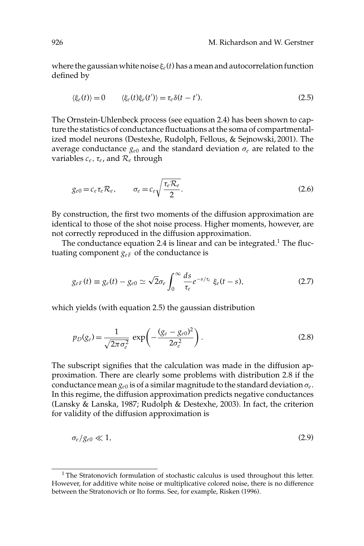where the gaussian white noise  $\xi_e(t)$  has a mean and autocorrelation function defined by

$$
\langle \xi_e(t) \rangle = 0 \qquad \langle \xi_e(t) \xi_e(t') \rangle = \tau_e \delta(t - t'). \tag{2.5}
$$

The Ornstein-Uhlenbeck process (see equation 2.4) has been shown to capture the statistics of conductance fluctuations at the soma of compartmentalized model neurons (Destexhe, Rudolph, Fellous, & Sejnowski, 2001). The average conductance  $g_{e0}$  and the standard deviation  $\sigma_e$  are related to the variables *ce*, τ*e*, and R*<sup>e</sup>* through

$$
g_{e0} = c_e \tau_e R_e, \qquad \sigma_e = c_e \sqrt{\frac{\tau_e R_e}{2}}.
$$
\n(2.6)

By construction, the first two moments of the diffusion approximation are identical to those of the shot noise process. Higher moments, however, are not correctly reproduced in the diffusion approximation.

The conductance equation 2.4 is linear and can be integrated.<sup>1</sup> The fluctuating component  $g_{eF}$  of the conductance is

$$
g_{eF}(t) \equiv g_e(t) - g_{e0} \simeq \sqrt{2}\sigma_e \int_0^\infty \frac{ds}{\tau_e} e^{-s/\tau_e} \xi_e(t-s), \tag{2.7}
$$

which yields (with equation 2.5) the gaussian distribution

$$
p_D(g_e) = \frac{1}{\sqrt{2\pi\sigma_e^2}} \exp\left(-\frac{(g_e - g_{e0})^2}{2\sigma_e^2}\right).
$$
 (2.8)

The subscript signifies that the calculation was made in the diffusion approximation. There are clearly some problems with distribution 2.8 if the conductance mean  $g_{e0}$  is of a similar magnitude to the standard deviation  $\sigma_{e}$ . In this regime, the diffusion approximation predicts negative conductances (Lansky & Lanska, 1987; Rudolph & Destexhe, 2003). In fact, the criterion for validity of the diffusion approximation is

$$
\sigma_e/g_{e0} \ll 1,\tag{2.9}
$$

<sup>&</sup>lt;sup>1</sup> The Stratonovich formulation of stochastic calculus is used throughout this letter. However, for additive white noise or multiplicative colored noise, there is no difference between the Stratonovich or Ito forms. See, for example, Risken (1996).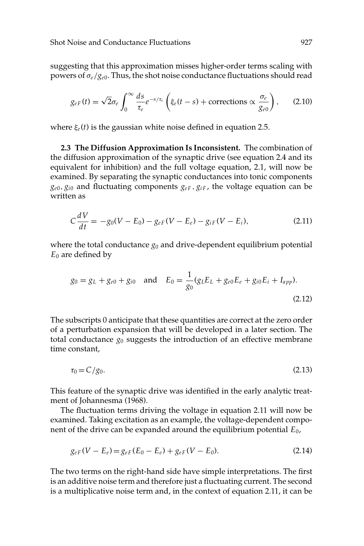suggesting that this approximation misses higher-order terms scaling with powers of σ*e*/*ge*0. Thus, the shot noise conductance fluctuations should read

$$
g_{eF}(t) = \sqrt{2}\sigma_e \int_0^\infty \frac{ds}{\tau_e} e^{-s/\tau_e} \left( \xi_e(t-s) + \text{corrections} \propto \frac{\sigma_e}{g_{e0}} \right), \qquad (2.10)
$$

where  $\xi_e(t)$  is the gaussian white noise defined in equation 2.5.

**2.3 The Diffusion Approximation Is Inconsistent.** The combination of the diffusion approximation of the synaptic drive (see equation 2.4 and its equivalent for inhibition) and the full voltage equation, 2.1, will now be examined. By separating the synaptic conductances into tonic components  $g_{e0}$ ,  $g_{i0}$  and fluctuating components  $g_{eF}$ ,  $g_{iF}$ , the voltage equation can be written as

$$
C\frac{dV}{dt} = -g_0(V - E_0) - g_{eF}(V - E_e) - g_{iF}(V - E_i),
$$
\n(2.11)

where the total conductance  $g_0$  and drive-dependent equilibrium potential *E*<sup>0</sup> are defined by

$$
g_0 = g_L + g_{e0} + g_{i0} \quad \text{and} \quad E_0 = \frac{1}{g_0} (g_L E_L + g_{e0} E_e + g_{i0} E_i + I_{app}).
$$
\n(2.12)

The subscripts 0 anticipate that these quantities are correct at the zero order of a perturbation expansion that will be developed in a later section. The total conductance  $g_0$  suggests the introduction of an effective membrane time constant,

 $\tau_0 = C/g_0.$  (2.13)

This feature of the synaptic drive was identified in the early analytic treatment of Johannesma (1968).

The fluctuation terms driving the voltage in equation 2.11 will now be examined. Taking excitation as an example, the voltage-dependent component of the drive can be expanded around the equilibrium potential *E*0,

$$
g_{eF}(V - E_e) = g_{eF}(E_0 - E_e) + g_{eF}(V - E_0).
$$
 (2.14)

The two terms on the right-hand side have simple interpretations. The first is an additive noise term and therefore just a fluctuating current. The second is a multiplicative noise term and, in the context of equation 2.11, it can be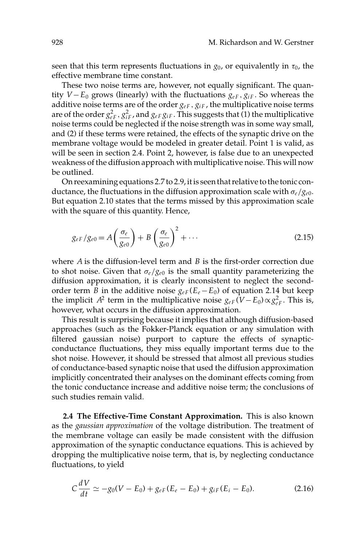seen that this term represents fluctuations in  $g_0$ , or equivalently in  $\tau_0$ , the effective membrane time constant.

These two noise terms are, however, not equally significant. The quantity *V*−*E*<sub>0</sub> grows (linearly) with the fluctuations  $g_{eF}$ ,  $g_{iF}$ . So whereas the additive noise terms are of the order  $g_{eF}$ ,  $g_{iF}$ , the multiplicative noise terms are of the order  $g_{eF}^2$  ,  $g_{iF}^2$  , and  $g_{eF}g_{iF}$  . This suggests that (1) the multiplicative noise terms could be neglected if the noise strength was in some way small, and (2) if these terms were retained, the effects of the synaptic drive on the membrane voltage would be modeled in greater detail. Point 1 is valid, as will be seen in section 2.4. Point 2, however, is false due to an unexpected weakness of the diffusion approach with multiplicative noise. This will now be outlined.

On reexamining equations 2.7 to 2.9, it is seen that relative to the tonic conductance, the fluctuations in the diffusion approximation scale with σ*e*/*ge*0. But equation 2.10 states that the terms missed by this approximation scale with the square of this quantity. Hence,

$$
g_{eF}/g_{e0} = A\left(\frac{\sigma_e}{g_{e0}}\right) + B\left(\frac{\sigma_e}{g_{e0}}\right)^2 + \cdots
$$
 (2.15)

where *A* is the diffusion-level term and *B* is the first-order correction due to shot noise. Given that  $\sigma_e/g_{e0}$  is the small quantity parameterizing the diffusion approximation, it is clearly inconsistent to neglect the secondorder term *B* in the additive noise  $g_{eF}$  ( $E_e - E_0$ ) of equation 2.14 but keep the implicit *A*<sup>2</sup> term in the multiplicative noise  $g_{eF}(V-E_0) \propto g_{eF}^2$ . This is, however, what occurs in the diffusion approximation.

This result is surprising because it implies that although diffusion-based approaches (such as the Fokker-Planck equation or any simulation with filtered gaussian noise) purport to capture the effects of synapticconductance fluctuations, they miss equally important terms due to the shot noise. However, it should be stressed that almost all previous studies of conductance-based synaptic noise that used the diffusion approximation implicitly concentrated their analyses on the dominant effects coming from the tonic conductance increase and additive noise term; the conclusions of such studies remain valid.

**2.4 The Effective-Time Constant Approximation.** This is also known as the *gaussian approximation* of the voltage distribution. The treatment of the membrane voltage can easily be made consistent with the diffusion approximation of the synaptic conductance equations. This is achieved by dropping the multiplicative noise term, that is, by neglecting conductance fluctuations, to yield

$$
C\frac{dV}{dt} \simeq -g_0(V - E_0) + g_{eF}(E_e - E_0) + g_{iF}(E_i - E_0).
$$
 (2.16)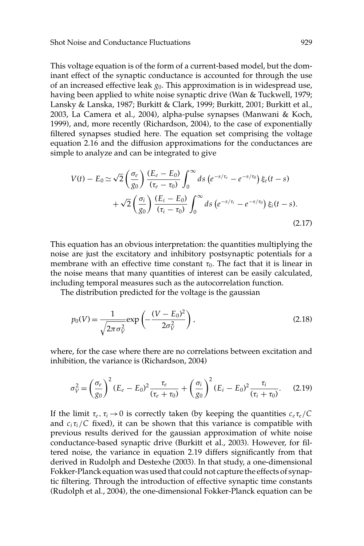This voltage equation is of the form of a current-based model, but the dominant effect of the synaptic conductance is accounted for through the use of an increased effective leak  $g_0$ . This approximation is in widespread use, having been applied to white noise synaptic drive (Wan & Tuckwell, 1979; Lansky & Lanska, 1987; Burkitt & Clark, 1999; Burkitt, 2001; Burkitt et al., 2003, La Camera et al., 2004), alpha-pulse synapses (Manwani & Koch, 1999), and, more recently (Richardson, 2004), to the case of exponentially filtered synapses studied here. The equation set comprising the voltage equation 2.16 and the diffusion approximations for the conductances are simple to analyze and can be integrated to give

$$
V(t) - E_0 \simeq \sqrt{2} \left( \frac{\sigma_e}{g_0} \right) \frac{(E_e - E_0)}{(\tau_e - \tau_0)} \int_0^\infty ds \left( e^{-s/\tau_e} - e^{-s/\tau_0} \right) \xi_e(t - s) + \sqrt{2} \left( \frac{\sigma_i}{g_0} \right) \frac{(E_i - E_0)}{(\tau_i - \tau_0)} \int_0^\infty ds \left( e^{-s/\tau_i} - e^{-s/\tau_0} \right) \xi_i(t - s).
$$
\n(2.17)

This equation has an obvious interpretation: the quantities multiplying the noise are just the excitatory and inhibitory postsynaptic potentials for a membrane with an effective time constant  $\tau_0$ . The fact that it is linear in the noise means that many quantities of interest can be easily calculated, including temporal measures such as the autocorrelation function.

The distribution predicted for the voltage is the gaussian

$$
p_0(V) = \frac{1}{\sqrt{2\pi\sigma_V^2}} \exp\left(-\frac{(V - E_0)^2}{2\sigma_V^2}\right),
$$
\n(2.18)

where, for the case where there are no correlations between excitation and inhibition, the variance is (Richardson, 2004)

$$
\sigma_V^2 = \left(\frac{\sigma_e}{g_0}\right)^2 (E_e - E_0)^2 \frac{\tau_e}{(\tau_e + \tau_0)} + \left(\frac{\sigma_i}{g_0}\right)^2 (E_i - E_0)^2 \frac{\tau_i}{(\tau_i + \tau_0)}.
$$
 (2.19)

If the limit  $\tau_e$ ,  $\tau_i \rightarrow 0$  is correctly taken (by keeping the quantities  $c_e \tau_e/C$ and  $c_i \tau_i / C$  fixed), it can be shown that this variance is compatible with previous results derived for the gaussian approximation of white noise conductance-based synaptic drive (Burkitt et al., 2003). However, for filtered noise, the variance in equation 2.19 differs significantly from that derived in Rudolph and Destexhe (2003). In that study, a one-dimensional Fokker-Planck equation was used that could not capture the effects of synaptic filtering. Through the introduction of effective synaptic time constants (Rudolph et al., 2004), the one-dimensional Fokker-Planck equation can be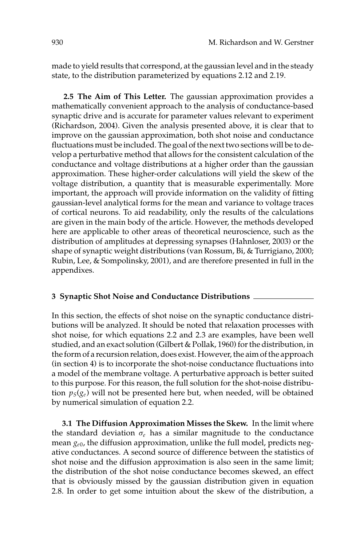made to yield results that correspond, at the gaussian level and in the steady state, to the distribution parameterized by equations 2.12 and 2.19.

**2.5 The Aim of This Letter.** The gaussian approximation provides a mathematically convenient approach to the analysis of conductance-based synaptic drive and is accurate for parameter values relevant to experiment (Richardson, 2004). Given the analysis presented above, it is clear that to improve on the gaussian approximation, both shot noise and conductance fluctuations must be included. The goal of the next two sections will be to develop a perturbative method that allows for the consistent calculation of the conductance and voltage distributions at a higher order than the gaussian approximation. These higher-order calculations will yield the skew of the voltage distribution, a quantity that is measurable experimentally. More important, the approach will provide information on the validity of fitting gaussian-level analytical forms for the mean and variance to voltage traces of cortical neurons. To aid readability, only the results of the calculations are given in the main body of the article. However, the methods developed here are applicable to other areas of theoretical neuroscience, such as the distribution of amplitudes at depressing synapses (Hahnloser, 2003) or the shape of synaptic weight distributions (van Rossum, Bi, & Turrigiano, 2000; Rubin, Lee, & Sompolinsky, 2001), and are therefore presented in full in the appendixes.

#### **3 Synaptic Shot Noise and Conductance Distributions**

In this section, the effects of shot noise on the synaptic conductance distributions will be analyzed. It should be noted that relaxation processes with shot noise, for which equations 2.2 and 2.3 are examples, have been well studied, and an exact solution (Gilbert & Pollak, 1960) for the distribution, in the form of a recursion relation, does exist. However, the aim of the approach (in section 4) is to incorporate the shot-noise conductance fluctuations into a model of the membrane voltage. A perturbative approach is better suited to this purpose. For this reason, the full solution for the shot-noise distribution  $p_S(g_e)$  will not be presented here but, when needed, will be obtained by numerical simulation of equation 2.2.

**3.1 The Diffusion Approximation Misses the Skew.** In the limit where the standard deviation  $\sigma_e$  has a similar magnitude to the conductance mean *ge*0, the diffusion approximation, unlike the full model, predicts negative conductances. A second source of difference between the statistics of shot noise and the diffusion approximation is also seen in the same limit; the distribution of the shot noise conductance becomes skewed, an effect that is obviously missed by the gaussian distribution given in equation 2.8. In order to get some intuition about the skew of the distribution, a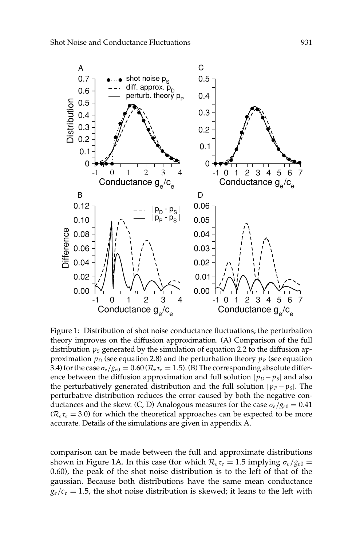

Figure 1: Distribution of shot noise conductance fluctuations; the perturbation theory improves on the diffusion approximation. (A) Comparison of the full distribution  $p<sub>S</sub>$  generated by the simulation of equation 2.2 to the diffusion approximation  $p_D$  (see equation 2.8) and the perturbation theory  $p_p$  (see equation 3.4) for the case  $\sigma_e/g_{e0} = 0.60$  ( $\mathcal{R}_e \tau_e = 1.5$ ). (B) The corresponding absolute difference between the diffusion approximation and full solution  $|p_D-p_S|$  and also the perturbatively generated distribution and the full solution  $|p_P - p_S|$ . The perturbative distribution reduces the error caused by both the negative conductances and the skew. (C, D) Analogous measures for the case  $\sigma_e/g_{e0} = 0.41$  $(\mathcal{R}_e \tau_e = 3.0)$  for which the theoretical approaches can be expected to be more accurate. Details of the simulations are given in appendix A.

comparison can be made between the full and approximate distributions shown in Figure 1A. In this case (for which  $\mathcal{R}_e \tau_e = 1.5$  implying  $\sigma_e/g_{e0} =$ 0.60), the peak of the shot noise distribution is to the left of that of the gaussian. Because both distributions have the same mean conductance  $g_e/c_e = 1.5$ , the shot noise distribution is skewed; it leans to the left with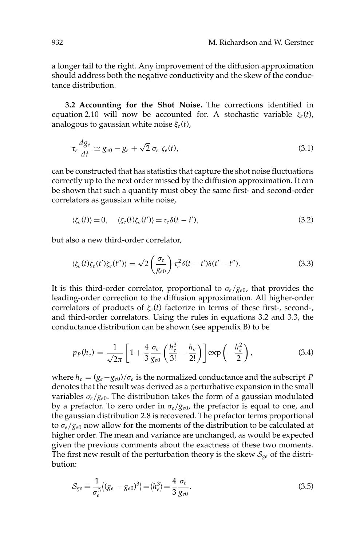a longer tail to the right. Any improvement of the diffusion approximation should address both the negative conductivity and the skew of the conductance distribution.

**3.2 Accounting for the Shot Noise.** The corrections identified in equation 2.10 will now be accounted for. A stochastic variable  $\zeta_e(t)$ , analogous to gaussian white noise ξ*e*(*t*),

$$
\tau_e \frac{dg_e}{dt} \simeq g_{e0} - g_e + \sqrt{2} \sigma_e \zeta_e(t), \qquad (3.1)
$$

can be constructed that has statistics that capture the shot noise fluctuations correctly up to the next order missed by the diffusion approximation. It can be shown that such a quantity must obey the same first- and second-order correlators as gaussian white noise,

$$
\langle \zeta_e(t) \rangle = 0, \quad \langle \zeta_e(t) \zeta_e(t') \rangle = \tau_e \delta(t - t'), \tag{3.2}
$$

but also a new third-order correlator,

$$
\langle \zeta_e(t)\zeta_e(t')\zeta_e(t'')\rangle = \sqrt{2}\left(\frac{\sigma_e}{g_{e0}}\right)\tau_e^2\delta(t-t')\delta(t'-t'').\tag{3.3}
$$

It is this third-order correlator, proportional to  $\sigma_e/g_{e0}$ , that provides the leading-order correction to the diffusion approximation. All higher-order correlators of products of  $\zeta_e(t)$  factorize in terms of these first-, second-, and third-order correlators. Using the rules in equations 3.2 and 3.3, the conductance distribution can be shown (see appendix B) to be

$$
p_P(h_e) = \frac{1}{\sqrt{2\pi}} \left[ 1 + \frac{4}{3} \frac{\sigma_e}{g_{e0}} \left( \frac{h_e^3}{3!} - \frac{h_e}{2!} \right) \right] \exp\left( -\frac{h_e^2}{2} \right),\tag{3.4}
$$

where  $h_e = (g_e - g_{e0})/\sigma_e$  is the normalized conductance and the subscript *P* denotes that the result was derived as a perturbative expansion in the small variables  $\sigma_e/g_{e0}$ . The distribution takes the form of a gaussian modulated by a prefactor. To zero order in  $\sigma_e/g_{e0}$ , the prefactor is equal to one, and the gaussian distribution 2.8 is recovered. The prefactor terms proportional to  $\sigma_e/g_{e0}$  now allow for the moments of the distribution to be calculated at higher order. The mean and variance are unchanged, as would be expected given the previous comments about the exactness of these two moments. The first new result of the perturbation theory is the skew  $S_{ge}$  of the distribution:

$$
S_{ge} = \frac{1}{\sigma_e^3} \langle (g_e - g_{e0})^3 \rangle = \langle h_e^3 \rangle = \frac{4}{3} \frac{\sigma_e}{g_{e0}}.
$$
 (3.5)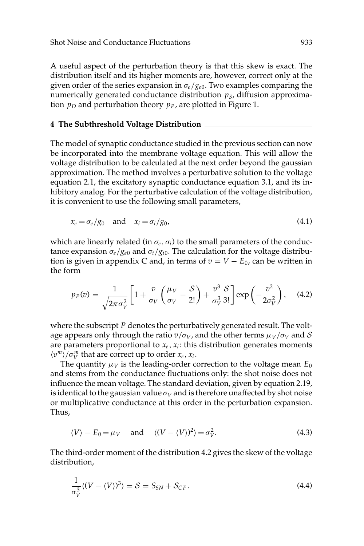A useful aspect of the perturbation theory is that this skew is exact. The distribution itself and its higher moments are, however, correct only at the given order of the series expansion in σ*e*/*ge*0. Two examples comparing the numerically generated conductance distribution  $p<sub>S</sub>$ , diffusion approximation  $p_D$  and perturbation theory  $p_P$ , are plotted in Figure 1.

#### **4 The Subthreshold Voltage Distribution**

The model of synaptic conductance studied in the previous section can now be incorporated into the membrane voltage equation. This will allow the voltage distribution to be calculated at the next order beyond the gaussian approximation. The method involves a perturbative solution to the voltage equation 2.1, the excitatory synaptic conductance equation 3.1, and its inhibitory analog. For the perturbative calculation of the voltage distribution, it is convenient to use the following small parameters,

$$
x_e = \sigma_e/g_0 \quad \text{and} \quad x_i = \sigma_i/g_0,\tag{4.1}
$$

which are linearly related (in  $\sigma_e$ ,  $\sigma_i$ ) to the small parameters of the conductance expansion  $\sigma_e/g_{e0}$  and  $\sigma_i/g_{i0}$ . The calculation for the voltage distribution is given in appendix C and, in terms of  $v = V - E_0$ , can be written in the form

$$
p_P(v) = \frac{1}{\sqrt{2\pi\sigma_V^2}} \left[ 1 + \frac{v}{\sigma_V} \left( \frac{\mu_V}{\sigma_V} - \frac{S}{2!} \right) + \frac{v^3}{\sigma_V^3} \frac{S}{3!} \right] \exp\left( -\frac{v^2}{2\sigma_V^2} \right), \quad (4.2)
$$

where the subscript *P* denotes the perturbatively generated result. The voltage appears only through the ratio  $v/\sigma_V$ , and the other terms  $\mu_V/\sigma_V$  and S are parameters proportional to  $x_e$ ,  $x_i$ : this distribution generates moments  $\langle v^m \rangle / \sigma_V^m$  that are correct up to order  $x_e$ ,  $x_i$ .

The quantity  $\mu_V$  is the leading-order correction to the voltage mean  $E_0$ and stems from the conductance fluctuations only: the shot noise does not influence the mean voltage. The standard deviation, given by equation 2.19, is identical to the gaussian value  $\sigma_V$  and is therefore unaffected by shot noise or multiplicative conductance at this order in the perturbation expansion. Thus,

$$
\langle V \rangle - E_0 = \mu_V \quad \text{and} \quad \langle (V - \langle V \rangle)^2 \rangle = \sigma_V^2. \tag{4.3}
$$

The third-order moment of the distribution 4.2 gives the skew of the voltage distribution,

$$
\frac{1}{\sigma_V^3} \langle (V - \langle V \rangle)^3 \rangle = S = S_{SN} + S_{CF}.
$$
\n(4.4)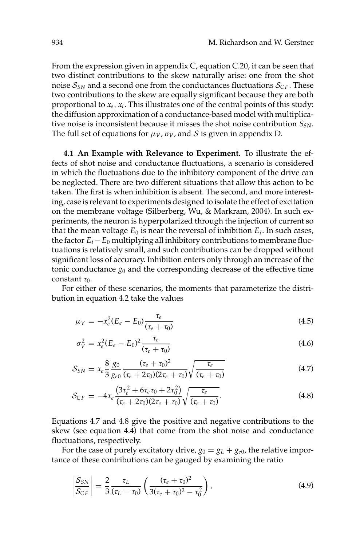From the expression given in appendix C, equation C.20, it can be seen that two distinct contributions to the skew naturally arise: one from the shot noise  $S_{SN}$  and a second one from the conductances fluctuations  $S_{CF}$ . These two contributions to the skew are equally significant because they are both proportional to  $x_e$ ,  $x_i$ . This illustrates one of the central points of this study: the diffusion approximation of a conductance-based model with multiplicative noise is inconsistent because it misses the shot noise contribution  $S_{SN}$ . The full set of equations for  $\mu_V$ ,  $\sigma_V$ , and S is given in appendix D.

**4.1 An Example with Relevance to Experiment.** To illustrate the effects of shot noise and conductance fluctuations, a scenario is considered in which the fluctuations due to the inhibitory component of the drive can be neglected. There are two different situations that allow this action to be taken. The first is when inhibition is absent. The second, and more interesting, case is relevant to experiments designed to isolate the effect of excitation on the membrane voltage (Silberberg, Wu, & Markram, 2004). In such experiments, the neuron is hyperpolarized through the injection of current so that the mean voltage  $E_0$  is near the reversal of inhibition  $E_i$ . In such cases, the factor  $E_i - E_0$  multiplying all inhibitory contributions to membrane fluctuations is relatively small, and such contributions can be dropped without significant loss of accuracy. Inhibition enters only through an increase of the tonic conductance  $g_0$  and the corresponding decrease of the effective time constant  $\tau_0$ .

For either of these scenarios, the moments that parameterize the distribution in equation 4.2 take the values

$$
\mu_V = -x_e^2 (E_e - E_0) \frac{\tau_e}{(\tau_e + \tau_0)}
$$
\n(4.5)

$$
\sigma_V^2 = x_e^2 (E_e - E_0)^2 \frac{\tau_e}{(\tau_e + \tau_0)}
$$
\n(4.6)

$$
S_{SN} = x_e \frac{8}{3} \frac{g_0}{g_{e0}} \frac{(\tau_e + \tau_0)^2}{(\tau_e + 2\tau_0)(2\tau_e + \tau_0)} \sqrt{\frac{\tau_e}{(\tau_e + \tau_0)}}
$$
(4.7)

$$
S_{CF} = -4x_e \frac{(3\tau_e^2 + 6\tau_e \tau_0 + 2\tau_0^2)}{(\tau_e + 2\tau_0)(2\tau_e + \tau_0)} \sqrt{\frac{\tau_e}{(\tau_e + \tau_0)}}.
$$
(4.8)

Equations 4.7 and 4.8 give the positive and negative contributions to the skew (see equation 4.4) that come from the shot noise and conductance fluctuations, respectively.

For the case of purely excitatory drive,  $g_0 = g_L + g_{e0}$ , the relative importance of these contributions can be gauged by examining the ratio

$$
\left| \frac{S_{SN}}{S_{CF}} \right| = \frac{2}{3} \frac{\tau_L}{(\tau_L - \tau_0)} \left( \frac{(\tau_e + \tau_0)^2}{3(\tau_e + \tau_0)^2 - \tau_0^2} \right), \tag{4.9}
$$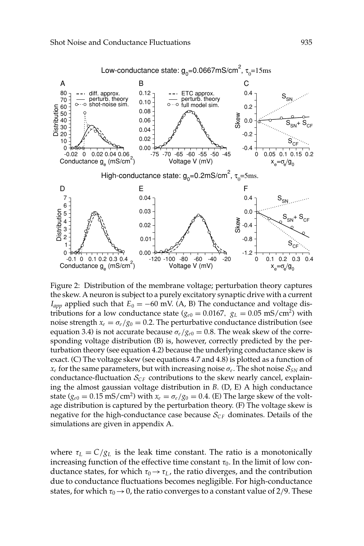

Figure 2: Distribution of the membrane voltage; perturbation theory captures the skew. A neuron is subject to a purely excitatory synaptic drive with a current *I<sub>app</sub>* applied such that  $E_0 = -60$  mV. (A, B) The conductance and voltage distributions for a low conductance state ( $g_{e0} = 0.0167$ ,  $g_L = 0.05$  mS/cm<sup>2</sup>) with noise strength  $x_e = \sigma_e/g_0 = 0.2$ . The perturbative conductance distribution (see equation 3.4) is not accurate because  $\sigma_e/g_{e0} = 0.8$ . The weak skew of the corresponding voltage distribution (B) is, however, correctly predicted by the perturbation theory (see equation 4.2) because the underlying conductance skew is exact. (C) The voltage skew (see equations 4.7 and 4.8) is plotted as a function of  $x_e$  for the same parameters, but with increasing noise  $\sigma_e$ . The shot noise  $S_{SN}$  and conductance-fluctuation  $S_{CF}$  contributions to the skew nearly cancel, explaining the almost gaussian voltage distribution in *B*. (D, E) A high conductance state ( $g_{e0} = 0.15 \text{ mS/cm}^2$ ) with  $x_e = \sigma_e/g_0 = 0.4$ . (E) The large skew of the voltage distribution is captured by the perturbation theory. (F) The voltage skew is negative for the high-conductance case because  $S_{CF}$  dominates. Details of the simulations are given in appendix A.

where  $\tau_L = C/g_L$  is the leak time constant. The ratio is a monotonically increasing function of the effective time constant  $\tau_0$ . In the limit of low conductance states, for which  $\tau_0 \rightarrow \tau_L$ , the ratio diverges, and the contribution due to conductance fluctuations becomes negligible. For high-conductance states, for which  $\tau_0 \rightarrow 0$ , the ratio converges to a constant value of 2/9. These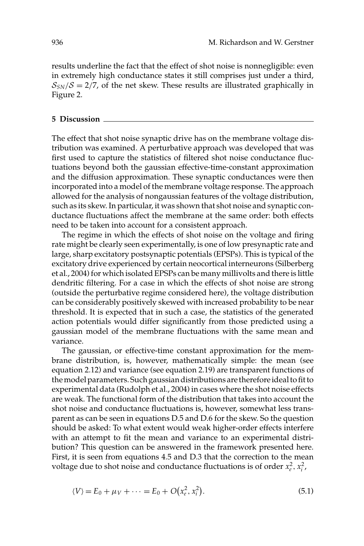results underline the fact that the effect of shot noise is nonnegligible: even in extremely high conductance states it still comprises just under a third,  $S_{SN}/S = 2/7$ , of the net skew. These results are illustrated graphically in Figure 2.

#### **5 Discussion**

The effect that shot noise synaptic drive has on the membrane voltage distribution was examined. A perturbative approach was developed that was first used to capture the statistics of filtered shot noise conductance fluctuations beyond both the gaussian effective-time-constant approximation and the diffusion approximation. These synaptic conductances were then incorporated into a model of the membrane voltage response. The approach allowed for the analysis of nongaussian features of the voltage distribution, such as its skew. In particular, it was shown that shot noise and synaptic conductance fluctuations affect the membrane at the same order: both effects need to be taken into account for a consistent approach.

The regime in which the effects of shot noise on the voltage and firing rate might be clearly seen experimentally, is one of low presynaptic rate and large, sharp excitatory postsynaptic potentials (EPSPs). This is typical of the excitatory drive experienced by certain neocortical interneurons (Silberberg et al., 2004) for which isolated EPSPs can be many millivolts and there is little dendritic filtering. For a case in which the effects of shot noise are strong (outside the perturbative regime considered here), the voltage distribution can be considerably positively skewed with increased probability to be near threshold. It is expected that in such a case, the statistics of the generated action potentials would differ significantly from those predicted using a gaussian model of the membrane fluctuations with the same mean and variance.

The gaussian, or effective-time constant approximation for the membrane distribution, is, however, mathematically simple: the mean (see equation 2.12) and variance (see equation 2.19) are transparent functions of the model parameters. Such gaussian distributions are therefore ideal to fit to experimental data (Rudolph et al., 2004) in cases where the shot noise effects are weak. The functional form of the distribution that takes into account the shot noise and conductance fluctuations is, however, somewhat less transparent as can be seen in equations D.5 and D.6 for the skew. So the question should be asked: To what extent would weak higher-order effects interfere with an attempt to fit the mean and variance to an experimental distribution? This question can be answered in the framework presented here. First, it is seen from equations 4.5 and D.3 that the correction to the mean voltage due to shot noise and conductance fluctuations is of order  $x_e^2$ ,  $x_i^2$ ,

$$
\langle V \rangle = E_0 + \mu_V + \dots = E_0 + O(x_e^2, x_i^2). \tag{5.1}
$$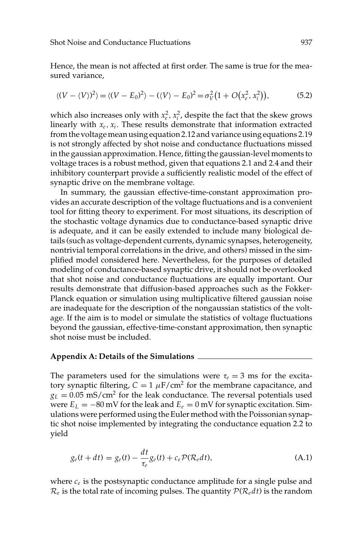Hence, the mean is not affected at first order. The same is true for the measured variance,

$$
\langle (V - \langle V \rangle)^2 \rangle = \langle (V - E_0)^2 \rangle - (\langle V \rangle - E_0)^2 = \sigma_V^2 (1 + O(x_e^2, x_i^2)), \tag{5.2}
$$

which also increases only with  $x_e^2$ ,  $x_i^2$ , despite the fact that the skew grows linearly with  $x_e$ ,  $x_i$ . These results demonstrate that information extracted from the voltage mean using equation 2.12 and variance using equations 2.19 is not strongly affected by shot noise and conductance fluctuations missed in the gaussian approximation. Hence, fitting the gaussian-level moments to voltage traces is a robust method, given that equations 2.1 and 2.4 and their inhibitory counterpart provide a sufficiently realistic model of the effect of synaptic drive on the membrane voltage.

In summary, the gaussian effective-time-constant approximation provides an accurate description of the voltage fluctuations and is a convenient tool for fitting theory to experiment. For most situations, its description of the stochastic voltage dynamics due to conductance-based synaptic drive is adequate, and it can be easily extended to include many biological details (such as voltage-dependent currents, dynamic synapses, heterogeneity, nontrivial temporal correlations in the drive, and others) missed in the simplified model considered here. Nevertheless, for the purposes of detailed modeling of conductance-based synaptic drive, it should not be overlooked that shot noise and conductance fluctuations are equally important. Our results demonstrate that diffusion-based approaches such as the Fokker-Planck equation or simulation using multiplicative filtered gaussian noise are inadequate for the description of the nongaussian statistics of the voltage. If the aim is to model or simulate the statistics of voltage fluctuations beyond the gaussian, effective-time-constant approximation, then synaptic shot noise must be included.

#### **Appendix A: Details of the Simulations**

The parameters used for the simulations were  $\tau_e = 3$  ms for the excitatory synaptic filtering,  $C = 1 \mu F/cm^2$  for the membrane capacitance, and  $g_L = 0.05$  mS/cm<sup>2</sup> for the leak conductance. The reversal potentials used were  $E_L = -80$  mV for the leak and  $E_e = 0$  mV for synaptic excitation. Simulations were performed using the Euler method with the Poissonian synaptic shot noise implemented by integrating the conductance equation 2.2 to yield

$$
g_e(t + dt) = g_e(t) - \frac{dt}{\tau_e} g_e(t) + c_e \mathcal{P}(\mathcal{R}_e dt),
$$
\n(A.1)

where *ce* is the postsynaptic conductance amplitude for a single pulse and  $\mathcal{R}_e$  is the total rate of incoming pulses. The quantity  $\mathcal{P}(\mathcal{R}_e dt)$  is the random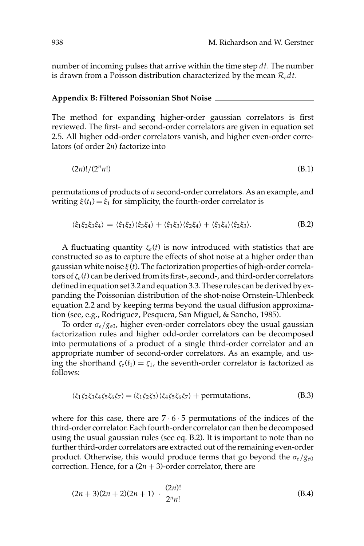number of incoming pulses that arrive within the time step *dt*. The number is drawn from a Poisson distribution characterized by the mean R*edt*.

## **Appendix B: Filtered Poissonian Shot Noise**

The method for expanding higher-order gaussian correlators is first reviewed. The first- and second-order correlators are given in equation set 2.5. All higher odd-order correlators vanish, and higher even-order correlators (of order 2*n*) factorize into

$$
(2n)!/(2nn!) \t\t (B.1)
$$

permutations of products of *n* second-order correlators. As an example, and writing  $\xi(t_1) = \xi_1$  for simplicity, the fourth-order correlator is

$$
\langle \xi_1 \xi_2 \xi_3 \xi_4 \rangle = \langle \xi_1 \xi_2 \rangle \langle \xi_3 \xi_4 \rangle + \langle \xi_1 \xi_3 \rangle \langle \xi_2 \xi_4 \rangle + \langle \xi_1 \xi_4 \rangle \langle \xi_2 \xi_3 \rangle.
$$
 (B.2)

A fluctuating quantity  $\zeta_e(t)$  is now introduced with statistics that are constructed so as to capture the effects of shot noise at a higher order than gaussian white noise ξ (*t*). The factorization properties of high-order correlators of ζ*e*(*t*) can be derived from its first-, second-, and third-order correlators defined in equation set 3.2 and equation 3.3. These rules can be derived by expanding the Poissonian distribution of the shot-noise Ornstein-Uhlenbeck equation 2.2 and by keeping terms beyond the usual diffusion approximation (see, e.g., Rodriguez, Pesquera, San Miguel, & Sancho, 1985).

To order σ*e*/*ge*0, higher even-order correlators obey the usual gaussian factorization rules and higher odd-order correlators can be decomposed into permutations of a product of a single third-order correlator and an appropriate number of second-order correlators. As an example, and using the shorthand  $\zeta_e(t_1) = \zeta_1$ , the seventh-order correlator is factorized as follows:

$$
\langle \zeta_1 \zeta_2 \zeta_3 \zeta_4 \zeta_5 \zeta_6 \zeta_7 \rangle = \langle \zeta_1 \zeta_2 \zeta_3 \rangle \langle \zeta_4 \zeta_5 \zeta_6 \zeta_7 \rangle + \text{permutations},\tag{B.3}
$$

where for this case, there are  $7 \cdot 6 \cdot 5$  permutations of the indices of the third-order correlator. Each fourth-order correlator can then be decomposed using the usual gaussian rules (see eq. B.2). It is important to note than no further third-order correlators are extracted out of the remaining even-order product. Otherwise, this would produce terms that go beyond the σ*e*/*ge*<sup>0</sup> correction. Hence, for a  $(2n + 3)$ -order correlator, there are

$$
(2n+3)(2n+2)(2n+1) \cdot \frac{(2n)!}{2^n n!}
$$
 (B.4)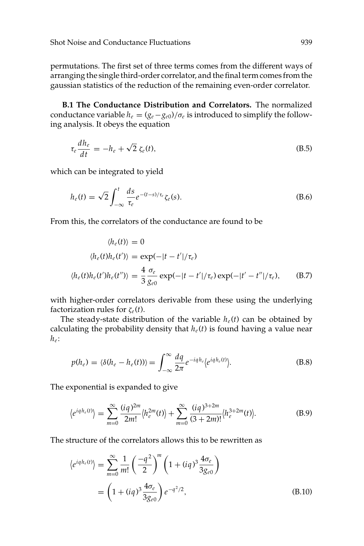Shot Noise and Conductance Fluctuations 939

permutations. The first set of three terms comes from the different ways of arranging the single third-order correlator, and the final term comes from the gaussian statistics of the reduction of the remaining even-order correlator.

**B.1 The Conductance Distribution and Correlators.** The normalized conductance variable  $h_e = (g_e - g_{e0})/\sigma_e$  is introduced to simplify the following analysis. It obeys the equation

$$
\tau_e \frac{dh_e}{dt} = -h_e + \sqrt{2} \zeta_e(t),\tag{B.5}
$$

which can be integrated to yield

$$
h_e(t) = \sqrt{2} \int_{-\infty}^t \frac{ds}{\tau_e} e^{-(t-s)/\tau_e} \zeta_e(s).
$$
 (B.6)

From this, the correlators of the conductance are found to be

$$
\langle h_e(t) \rangle = 0
$$
  

$$
\langle h_e(t) h_e(t') \rangle = \exp(-|t - t'|/\tau_e)
$$
  

$$
\langle h_e(t) h_e(t') h_e(t'') \rangle = \frac{4}{3} \frac{\sigma_e}{g_{e0}} \exp(-|t - t'|/\tau_e) \exp(-|t' - t''|/\tau_e), \qquad (B.7)
$$

with higher-order correlators derivable from these using the underlying factorization rules for ζ*e*(*t*).

The steady-state distribution of the variable  $h_e(t)$  can be obtained by calculating the probability density that  $h_e(t)$  is found having a value near *he*:

$$
p(h_e) = \langle \delta(h_e - h_e(t)) \rangle = \int_{-\infty}^{\infty} \frac{dq}{2\pi} e^{-iqh_e} \langle e^{iqh_e(t)} \rangle.
$$
 (B.8)

The exponential is expanded to give

$$
\langle e^{iqh_e(t)} \rangle = \sum_{m=0}^{\infty} \frac{(iq)^{2m}}{2m!} \langle h_e^{2m}(t) \rangle + \sum_{m=0}^{\infty} \frac{(iq)^{3+2m}}{(3+2m)!} \langle h_e^{3+2m}(t) \rangle.
$$
 (B.9)

The structure of the correlators allows this to be rewritten as

$$
\langle e^{iqh_e(t)} \rangle = \sum_{m=0}^{\infty} \frac{1}{m!} \left( \frac{-q^2}{2} \right)^m \left( 1 + (iq)^3 \frac{4\sigma_e}{3g_{e0}} \right)
$$
  
=  $\left( 1 + (iq)^3 \frac{4\sigma_e}{3g_{e0}} \right) e^{-q^2/2},$  (B.10)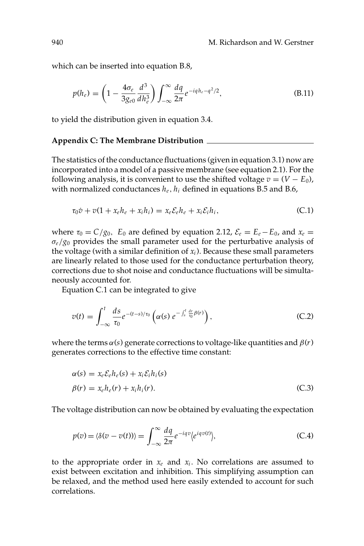which can be inserted into equation B.8,

$$
p(h_e) = \left(1 - \frac{4\sigma_e}{3g_{e0}}\frac{d^3}{dh_e^3}\right) \int_{-\infty}^{\infty} \frac{dq}{2\pi} e^{-iqh_e - q^2/2},\tag{B.11}
$$

to yield the distribution given in equation 3.4.

#### **Appendix C: The Membrane Distribution**

The statistics of the conductance fluctuations (given in equation 3.1) now are incorporated into a model of a passive membrane (see equation 2.1). For the following analysis, it is convenient to use the shifted voltage  $v = (V - E_0)$ , with normalized conductances  $h_e$ ,  $h_i$  defined in equations B.5 and B.6,

$$
\tau_0 \dot{v} + v(1 + x_e h_e + x_i h_i) = x_e \mathcal{E}_e h_e + x_i \mathcal{E}_i h_i, \tag{C.1}
$$

where  $\tau_0 = C/g_0$ ,  $E_0$  are defined by equation 2.12,  $\mathcal{E}_e = E_e - E_0$ , and  $x_e =$  $\sigma_e/g_0$  provides the small parameter used for the perturbative analysis of the voltage (with a similar definition of  $x_i$ ). Because these small parameters are linearly related to those used for the conductance perturbation theory, corrections due to shot noise and conductance fluctuations will be simultaneously accounted for.

Equation C.1 can be integrated to give

$$
v(t) = \int_{-\infty}^{t} \frac{ds}{\tau_0} e^{-(t-s)/\tau_0} \left( \alpha(s) e^{-\int_{s}^{t} \frac{dt}{\tau_0} \beta(r)} \right), \tag{C.2}
$$

where the terms  $\alpha(s)$  generate corrections to voltage-like quantities and  $\beta(r)$ generates corrections to the effective time constant:

$$
\alpha(s) = x_e \mathcal{E}_e h_e(s) + x_i \mathcal{E}_i h_i(s)
$$
  
\n
$$
\beta(r) = x_e h_e(r) + x_i h_i(r).
$$
 (C.3)

The voltage distribution can now be obtained by evaluating the expectation

$$
p(v) = \langle \delta(v - v(t)) \rangle = \int_{-\infty}^{\infty} \frac{dq}{2\pi} e^{-iqv} \langle e^{iqv(t)} \rangle, \tag{C.4}
$$

to the appropriate order in  $x_e$  and  $x_i$ . No correlations are assumed to exist between excitation and inhibition. This simplifying assumption can be relaxed, and the method used here easily extended to account for such correlations.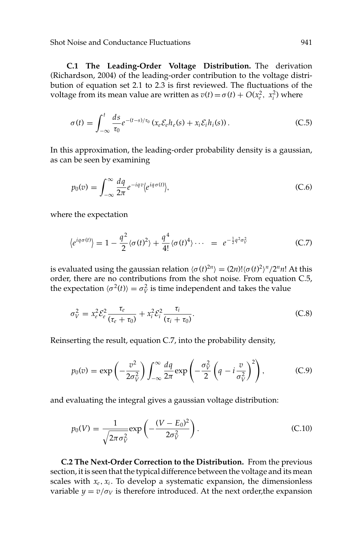Shot Noise and Conductance Fluctuations 600 millions 60 million 941

**C.1 The Leading-Order Voltage Distribution.** The derivation (Richardson, 2004) of the leading-order contribution to the voltage distribution of equation set 2.1 to 2.3 is first reviewed. The fluctuations of the voltage from its mean value are written as  $v(t) = \sigma(t) + O(x_e^2, x_i^2)$  where

$$
\sigma(t) = \int_{-\infty}^{t} \frac{ds}{\tau_0} e^{-(t-s)/\tau_0} \left( x_e \mathcal{E}_e h_e(s) + x_i \mathcal{E}_i h_i(s) \right). \tag{C.5}
$$

In this approximation, the leading-order probability density is a gaussian, as can be seen by examining

$$
p_0(v) = \int_{-\infty}^{\infty} \frac{dq}{2\pi} e^{-iqv} \langle e^{iq\sigma(t)} \rangle,
$$
 (C.6)

where the expectation

$$
\langle e^{iq\sigma(t)}\rangle = 1 - \frac{q^2}{2}\langle \sigma(t)^2 \rangle + \frac{q^4}{4!}\langle \sigma(t)^4 \rangle \cdots = e^{-\frac{1}{2}q^2\sigma_V^2}
$$
 (C.7)

is evaluated using the gaussian relation  $\langle \sigma(t)^{2n} \rangle = (2n)! \langle \sigma(t)^2 \rangle^n / 2^n n!$  At this order, there are no contributions from the shot noise. From equation C.5, the expectation  $\langle \sigma^2(t) \rangle = \sigma_V^2$  is time independent and takes the value

$$
\sigma_V^2 = x_e^2 \mathcal{E}_e^2 \frac{\tau_e}{(\tau_e + \tau_0)} + x_i^2 \mathcal{E}_i^2 \frac{\tau_i}{(\tau_i + \tau_0)}.
$$
 (C.8)

Reinserting the result, equation C.7, into the probability density,

$$
p_0(v) = \exp\left(-\frac{v^2}{2\sigma_V^2}\right) \int_{-\infty}^{\infty} \frac{dq}{2\pi} \exp\left(-\frac{\sigma_V^2}{2}\left(q - i\frac{v}{\sigma_V^2}\right)^2\right),\tag{C.9}
$$

and evaluating the integral gives a gaussian voltage distribution:

$$
p_0(V) = \frac{1}{\sqrt{2\pi\sigma_V^2}} \exp\left(-\frac{(V - E_0)^2}{2\sigma_V^2}\right).
$$
 (C.10)

**C.2 The Next-Order Correction to the Distribution.** From the previous section, it is seen that the typical difference between the voltage and its mean scales with  $x_e$ ,  $x_i$ . To develop a systematic expansion, the dimensionless variable  $y = v/\sigma_V$  is therefore introduced. At the next order, the expansion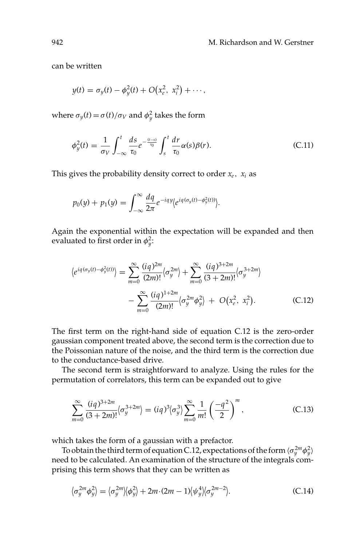can be written

$$
y(t) = \sigma_y(t) - \phi_y^2(t) + O(x_e^2, x_i^2) + \cdots,
$$

where  $\sigma_y(t) = \sigma(t)/\sigma_V$  and  $\phi_y^2$  takes the form

$$
\phi_y^2(t) = \frac{1}{\sigma_V} \int_{-\infty}^t \frac{ds}{\tau_0} e^{-\frac{(t-s)}{\tau_0}} \int_s^t \frac{dr}{\tau_0} \alpha(s) \beta(r). \tag{C.11}
$$

This gives the probability density correct to order  $x_e$ ,  $x_i$  as

$$
p_0(y) + p_1(y) = \int_{-\infty}^{\infty} \frac{dq}{2\pi} e^{-iqy} \langle e^{iq(\sigma_y(t) - \phi_y^2(t))} \rangle.
$$

Again the exponential within the expectation will be expanded and then evaluated to first order in  $\phi_y^2$ :

$$
\langle e^{iq(\sigma_y(t) - \phi_y^2(t))} \rangle = \sum_{m=0}^{\infty} \frac{(iq)^{2m}}{(2m)!} \langle \sigma_y^{2m} \rangle + \sum_{m=0}^{\infty} \frac{(iq)^{3+2m}}{(3+2m)!} \langle \sigma_y^{3+2m} \rangle - \sum_{m=0}^{\infty} \frac{(iq)^{1+2m}}{(2m)!} \langle \sigma_y^{2m} \phi_y^2 \rangle + O(x_e^2, x_i^2).
$$
 (C.12)

The first term on the right-hand side of equation C.12 is the zero-order gaussian component treated above, the second term is the correction due to the Poissonian nature of the noise, and the third term is the correction due to the conductance-based drive.

The second term is straightforward to analyze. Using the rules for the permutation of correlators, this term can be expanded out to give

$$
\sum_{m=0}^{\infty} \frac{(iq)^{3+2m}}{(3+2m)!} \langle \sigma_y^{3+2m} \rangle = (iq)^3 \langle \sigma_y^3 \rangle \sum_{m=0}^{\infty} \frac{1}{m!} \left( \frac{-q^2}{2} \right)^m,
$$
 (C.13)

which takes the form of a gaussian with a prefactor.

To obtain the third term of equation C.12, expectations of the form  $\langle \sigma_{y}^{2m} \phi_{y}^{2} \rangle$ need to be calculated. An examination of the structure of the integrals comprising this term shows that they can be written as

$$
\langle \sigma_y^{2m} \phi_y^2 \rangle = \langle \sigma_y^{2m} \rangle \langle \phi_y^2 \rangle + 2m \cdot (2m - 1) \langle \psi_y^4 \rangle \langle \sigma_y^{2m - 2} \rangle. \tag{C.14}
$$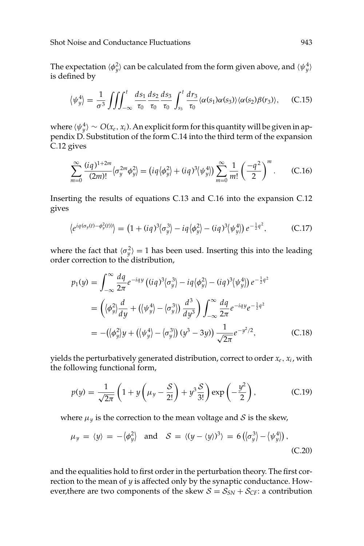The expectation  $\langle \phi_y^2 \rangle$  can be calculated from the form given above, and  $\langle \psi_y^4 \rangle$ is defined by

$$
\langle \psi_y^4 \rangle = \frac{1}{\sigma^3} \iiint_{-\infty}^t \frac{ds_1}{\tau_0} \frac{ds_2}{\tau_0} \frac{ds_3}{\tau_0} \int_{s_3}^t \frac{dr_3}{\tau_0} \langle \alpha(s_1) \alpha(s_3) \rangle \langle \alpha(s_2) \beta(r_3) \rangle, \quad (C.15)
$$

where  $\langle \psi^4_y \rangle \sim O(x_e, x_i)$ . An explicit form for this quantity will be given in appendix D. Substitution of the form C.14 into the third term of the expansion C.12 gives

$$
\sum_{m=0}^{\infty} \frac{(iq)^{1+2m}}{(2m)!} \langle \sigma_y^{2m} \phi_y^2 \rangle = (iq \langle \phi_y^2 \rangle + (iq)^3 \langle \psi_y^4 \rangle) \sum_{m=0}^{\infty} \frac{1}{m!} \left( \frac{-q^2}{2} \right)^m.
$$
 (C.16)

Inserting the results of equations C.13 and C.16 into the expansion C.12 gives

$$
\langle e^{iq(\sigma_y(t) - \phi_y^2(t))} \rangle = \left(1 + (iq)^3 \langle \sigma_y^3 \rangle - iq \langle \phi_y^2 \rangle - (iq)^3 \langle \psi_y^4 \rangle \right) e^{-\frac{1}{2}q^2}, \tag{C.17}
$$

where the fact that  $\langle \sigma_y^2 \rangle = 1$  has been used. Inserting this into the leading order correction to the distribution,

$$
p_1(y) = \int_{-\infty}^{\infty} \frac{dq}{2\pi} e^{-iqy} \left( (iq)^3 \langle \sigma_y^3 \rangle - iq \langle \phi_y^2 \rangle - (iq)^3 \langle \psi_y^4 \rangle \right) e^{-\frac{1}{2}q^2}
$$
  
\n
$$
= \left( \langle \phi_y^2 \rangle \frac{d}{dy} + \left( \langle \psi_y^4 \rangle - \langle \sigma_y^3 \rangle \right) \frac{d^3}{dy^3} \right) \int_{-\infty}^{\infty} \frac{dq}{2\pi} e^{-iqy} e^{-\frac{1}{2}q^2}
$$
  
\n
$$
= - \left( \langle \phi_y^2 \rangle y + \left( \langle \psi_y^4 \rangle - \langle \sigma_y^3 \rangle \right) (y^3 - 3y) \right) \frac{1}{\sqrt{2\pi}} e^{-y^2/2}, \qquad (C.18)
$$

yields the perturbatively generated distribution, correct to order  $x_e$ ,  $x_i$ , with the following functional form,

$$
p(y) = \frac{1}{\sqrt{2\pi}} \left( 1 + y \left( \mu_y - \frac{S}{2!} \right) + y^3 \frac{S}{3!} \right) \exp\left( -\frac{y^2}{2} \right), \tag{C.19}
$$

where  $\mu_{\gamma}$  is the correction to the mean voltage and *S* is the skew,

$$
\mu_y = \langle y \rangle = -\langle \phi_y^2 \rangle
$$
 and  $S = \langle (y - \langle y \rangle)^3 \rangle = 6 \langle \langle \sigma_y^3 \rangle - \langle \psi_y^4 \rangle$ ), (C.20)

and the equalities hold to first order in the perturbation theory. The first correction to the mean of *y* is affected only by the synaptic conductance. However, there are two components of the skew  $S = S_{SN} + S_{CF}$ : a contribution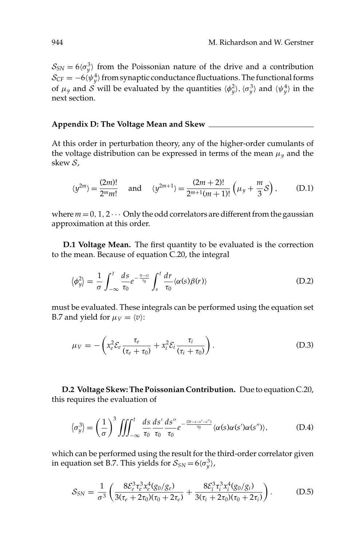$S_{SN} = 6\langle \sigma_y^3 \rangle$  from the Poissonian nature of the drive and a contribution  $\mathcal{S}_{CF}=-6\langle\psi^4_y\rangle$  from synaptic conductance fluctuations. The functional forms of  $\mu_y$  and *S* will be evaluated by the quantities  $\langle \phi_y^2 \rangle$ ,  $\langle \sigma_y^3 \rangle$  and  $\langle \psi_y^4 \rangle$  in the next section.

## **Appendix D: The Voltage Mean and Skew**

At this order in perturbation theory, any of the higher-order cumulants of the voltage distribution can be expressed in terms of the mean  $\mu<sub>y</sub>$  and the skew S,

$$
\langle y^{2m} \rangle = \frac{(2m)!}{2^m m!}
$$
 and  $\langle y^{2m+1} \rangle = \frac{(2m+2)!}{2^{m+1}(m+1)!} \left( \mu_y + \frac{m}{3} S \right)$ , (D.1)

where  $m = 0, 1, 2 \cdots$  Only the odd correlators are different from the gaussian approximation at this order.

**D.1 Voltage Mean.** The first quantity to be evaluated is the correction to the mean. Because of equation C.20, the integral

$$
\langle \phi_y^2 \rangle = \frac{1}{\sigma} \int_{-\infty}^t \frac{ds}{\tau_0} e^{-\frac{(t-s)}{\tau_0}} \int_s^t \frac{dr}{\tau_0} \langle \alpha(s) \beta(r) \rangle \tag{D.2}
$$

must be evaluated. These integrals can be performed using the equation set B.7 and yield for  $\mu_V = \langle v \rangle$ :

$$
\mu_V = -\left(x_e^2 \mathcal{E}_e \frac{\tau_e}{(\tau_e + \tau_0)} + x_i^2 \mathcal{E}_i \frac{\tau_i}{(\tau_i + \tau_0)}\right). \tag{D.3}
$$

**D.2 Voltage Skew: The Poissonian Contribution.** Due to equation C.20, this requires the evaluation of

$$
\langle \sigma_y^3 \rangle = \left(\frac{1}{\sigma}\right)^3 \iiint_{-\infty}^t \frac{ds}{\tau_0} \frac{ds'}{\tau_0} \frac{ds''}{\tau_0} e^{-\frac{(3t-s-s'-s'')}{\tau_0}} \langle \alpha(s) \alpha(s') \alpha(s'') \rangle, \tag{D.4}
$$

which can be performed using the result for the third-order correlator given in equation set B.7. This yields for  $\mathcal{S}_{SN}$  = 6 $\langle \sigma_y^3 \rangle$ ,

$$
S_{SN} = \frac{1}{\sigma^3} \left( \frac{8 \mathcal{E}_e^3 \tau_e^3 x_e^4 (g_0/g_e)}{3(\tau_e + 2\tau_0)(\tau_0 + 2\tau_e)} + \frac{8 \mathcal{E}_i^3 \tau_i^3 x_i^4 (g_0/g_i)}{3(\tau_i + 2\tau_0)(\tau_0 + 2\tau_i)} \right).
$$
(D.5)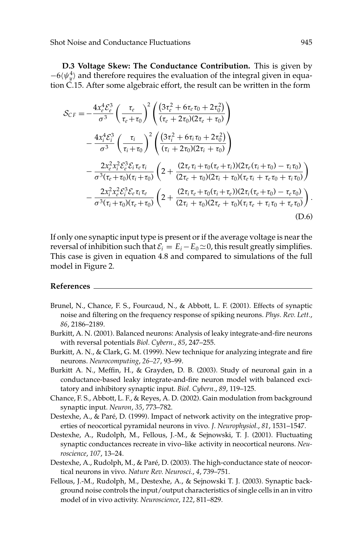**D.3 Voltage Skew: The Conductance Contribution.** This is given by  $-6\langle \psi_y^4 \rangle$  and therefore requires the evaluation of the integral given in equation C.15. After some algebraic effort, the result can be written in the form

$$
S_{CF} = -\frac{4x_e^4 \mathcal{E}_e^3}{\sigma^3} \left(\frac{\tau_e}{\tau_e + \tau_0}\right)^2 \left(\frac{(3\tau_e^2 + 6\tau_e \tau_0 + 2\tau_0^2)}{(\tau_e + 2\tau_0)(2\tau_e + \tau_0)}\right) - \frac{4x_i^4 \mathcal{E}_i^3}{\sigma^3} \left(\frac{\tau_i}{\tau_i + \tau_0}\right)^2 \left(\frac{(3\tau_i^2 + 6\tau_i \tau_0 + 2\tau_0^2)}{(\tau_i + 2\tau_0)(2\tau_i + \tau_0)}\right) - \frac{2x_e^2 x_i^2 \mathcal{E}_e^3 \mathcal{E}_i \tau_e \tau_i}{\sigma^3 (\tau_e + \tau_0)(\tau_i + \tau_0)} \left(2 + \frac{(2\tau_e \tau_i + \tau_0(\tau_e + \tau_i))(2\tau_e(\tau_i + \tau_0) - \tau_i \tau_0)}{(2\tau_e + \tau_0)(2\tau_i + \tau_0)(\tau_e + \tau_e \tau_0 + \tau_i \tau_0)}\right) - \frac{2x_i^2 x_e^2 \mathcal{E}_i^3 \mathcal{E}_e \tau_i \tau_e}{\sigma^3 (\tau_i + \tau_0)(\tau_e + \tau_0)} \left(2 + \frac{(2\tau_i \tau_e + \tau_0(\tau_i + \tau_e))(2\tau_i(\tau_e + \tau_0) - \tau_e \tau_0)}{(2\tau_i + \tau_0)(2\tau_e + \tau_0)(\tau_i \tau_e + \tau_i \tau_0 + \tau_e \tau_0)}\right).
$$
\n(D.6)

If only one synaptic input type is present or if the average voltage is near the reversal of inhibition such that  $\mathcal{E}_i = E_i - E_0 \simeq 0$ , this result greatly simplifies. This case is given in equation 4.8 and compared to simulations of the full model in Figure 2.

# **References**

- Brunel, N., Chance, F. S., Fourcaud, N., & Abbott, L. F. (2001). Effects of synaptic noise and filtering on the frequency response of spiking neurons. *Phys. Rev. Lett.*, *86*, 2186–2189.
- Burkitt, A. N. (2001). Balanced neurons: Analysis of leaky integrate-and-fire neurons with reversal potentials *Biol. Cybern.*, *85*, 247–255.
- Burkitt, A. N., & Clark, G. M. (1999). New technique for analyzing integrate and fire neurons. *Neurocomputing*, *26–27*, 93–99.
- Burkitt A. N., Meffin, H., & Grayden, D. B. (2003). Study of neuronal gain in a conductance-based leaky integrate-and-fire neuron model with balanced excitatory and inhibitory synaptic input. *Biol. Cybern.*, *89*, 119–125.
- Chance, F. S., Abbott, L. F., & Reyes, A. D. (2002). Gain modulation from background synaptic input. *Neuron*, *35*, 773–782.
- Destexhe, A., & Paré, D. (1999). Impact of network activity on the integrative properties of neocortical pyramidal neurons in vivo. *J. Neurophysiol.*, *81*, 1531–1547.
- Destexhe, A., Rudolph, M., Fellous, J.-M., & Sejnowski, T. J. (2001). Fluctuating synaptic conductances recreate in vivo–like activity in neocortical neurons. *Neuroscience*, *107*, 13–24.
- Destexhe, A., Rudolph, M., & Paré, D. (2003). The high-conductance state of neocortical neurons in vivo. *Nature Rev. Neurosci.*, *4*, 739–751.
- Fellous, J.-M., Rudolph, M., Destexhe, A., & Sejnowski T. J. (2003). Synaptic background noise controls the input/output characteristics of single cells in an in vitro model of in vivo activity. *Neuroscience*, *122*, 811–829.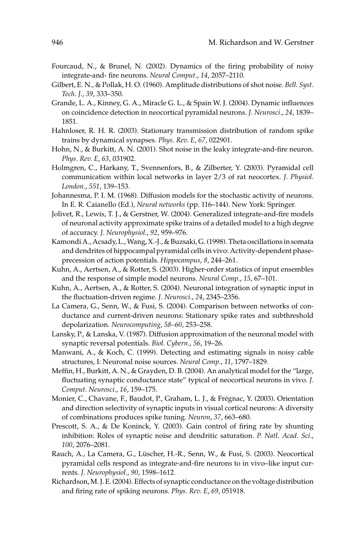- Fourcaud, N., & Brunel, N. (2002). Dynamics of the firing probability of noisy integrate-and- fire neurons. *Neural Comput.*, *14*, 2057–2110.
- Gilbert, E. N., & Pollak, H. O. (1960). Amplitude distributions of shot noise. *Bell. Syst. Tech. J.*, *39*, 333–350.
- Grande, L. A., Kinney, G. A., Miracle G. L., & Spain W. J. (2004). Dynamic influences on coincidence detection in neocortical pyramidal neurons. *J. Neurosci.*, *24*, 1839– 1851.
- Hahnloser, R. H. R. (2003). Stationary transmission distribution of random spike trains by dynamical synapses. *Phys. Rev. E*, *67*, 022901.
- Hohn, N., & Burkitt, A. N. (2001). Shot noise in the leaky integrate-and-fire neuron. *Phys. Rev. E*, *63*, 031902.
- Holmgren, C., Harkany, T., Svennenfors, B., & Zilberter, Y. (2003). Pyramidal cell communication within local networks in layer 2/3 of rat neocortex. *J. Physiol. London.*, *551*, 139–153.
- Johannesma, P. I. M. (1968). Diffusion models for the stochastic activity of neurons. In E. R. Caianello (Ed.), *Neural networks* (pp. 116–144). New York: Springer.
- Jolivet, R., Lewis, T. J., & Gerstner, W. (2004). Generalized integrate-and-fire models of neuronal activity approximate spike trains of a detailed model to a high degree of accuracy. *J. Neurophysiol.*, *92*, 959–976.
- Kamondi A., Acsady, L., Wang, X.-J., & Buzsaki, G. (1998). Theta oscillations in somata and dendrites of hippocampal pyramidal cells in vivo: Activity-dependent phaseprecession of action potentials. *Hippocampus*, *8*, 244–261.
- Kuhn, A., Aertsen, A., & Rotter, S. (2003). Higher-order statistics of input ensembles and the response of simple model neurons. *Neural Comp.*, *15*, 67–101.
- Kuhn, A., Aertsen, A., & Rotter, S. (2004). Neuronal integration of synaptic input in the fluctuation-driven regime. *J. Neurosci.*, *24*, 2345–2356.
- La Camera, G., Senn, W., & Fusi, S. (2004). Comparison between networks of conductance and current-driven neurons: Stationary spike rates and subthreshold depolarization. *Neurocomputing*, *58–60*, 253–258.
- Lansky, P., & Lanska, V. (1987). Diffusion approximation of the neuronal model with synaptic reversal potentials. *Biol. Cybern.*, *56*, 19–26.
- Manwani, A., & Koch, C. (1999). Detecting and estimating signals in noisy cable structures, I: Neuronal noise sources. *Neural Comp.*, *11*, 1797–1829.
- Meffin, H., Burkitt, A. N., & Grayden, D. B. (2004). An analytical model for the "large, fluctuating synaptic conductance state" typical of neocortical neurons in vivo. *J. Comput. Neurosci.*, *16*, 159–175.
- Monier, C., Chavane, F., Baudot, P., Graham, L. J., & Frégnac, Y. (2003). Orientation and direction selectivity of synaptic inputs in visual cortical neurons: A diversity of combinations produces spike tuning. *Neuron*, *37*, 663–680.
- Prescott, S. A., & De Koninck, Y. (2003). Gain control of firing rate by shunting inhibition: Roles of synaptic noise and dendritic saturation. *P. Natl. Acad. Sci.*, *100*, 2076–2081.
- Rauch, A., La Camera, G., Lüscher, H.-R., Senn, W., & Fusi, S. (2003). Neocortical pyramidal cells respond as integrate-and-fire neurons to in vivo–like input currents. *J. Neurophysiol.*, *90*, 1598–1612.
- Richardson, M. J. E. (2004). Effects of synaptic conductance on the voltage distribution and firing rate of spiking neurons. *Phys. Rev. E*, *69*, 051918.